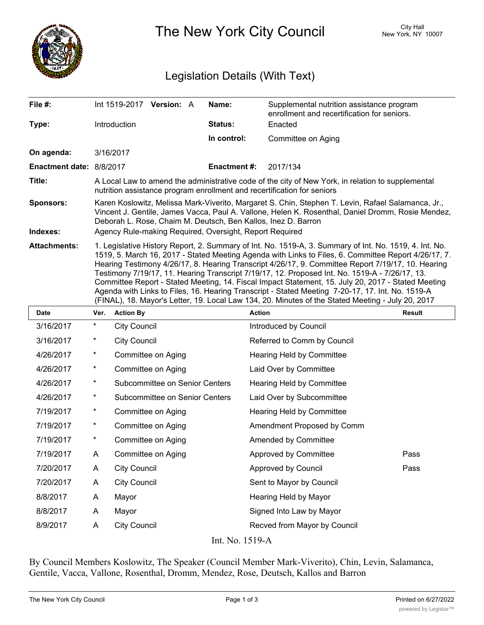

The New York City Council New York, NY 10007

## Legislation Details (With Text)

| File #:                  | Int 1519-2017 Version: A                                                                                                                                                                                                                                                                                                                                                                                                                                                                                                                                                                                                                                                                                                              | Name:               | Supplemental nutrition assistance program<br>enrollment and recertification for seniors. |  |  |
|--------------------------|---------------------------------------------------------------------------------------------------------------------------------------------------------------------------------------------------------------------------------------------------------------------------------------------------------------------------------------------------------------------------------------------------------------------------------------------------------------------------------------------------------------------------------------------------------------------------------------------------------------------------------------------------------------------------------------------------------------------------------------|---------------------|------------------------------------------------------------------------------------------|--|--|
| Type:                    | Introduction                                                                                                                                                                                                                                                                                                                                                                                                                                                                                                                                                                                                                                                                                                                          | Status:             | Enacted                                                                                  |  |  |
|                          |                                                                                                                                                                                                                                                                                                                                                                                                                                                                                                                                                                                                                                                                                                                                       | In control:         | Committee on Aging                                                                       |  |  |
| On agenda:               | 3/16/2017                                                                                                                                                                                                                                                                                                                                                                                                                                                                                                                                                                                                                                                                                                                             |                     |                                                                                          |  |  |
| Enactment date: 8/8/2017 |                                                                                                                                                                                                                                                                                                                                                                                                                                                                                                                                                                                                                                                                                                                                       | <b>Enactment #:</b> | 2017/134                                                                                 |  |  |
| Title:                   | A Local Law to amend the administrative code of the city of New York, in relation to supplemental<br>nutrition assistance program enrollment and recertification for seniors                                                                                                                                                                                                                                                                                                                                                                                                                                                                                                                                                          |                     |                                                                                          |  |  |
| <b>Sponsors:</b>         | Karen Koslowitz, Melissa Mark-Viverito, Margaret S. Chin, Stephen T. Levin, Rafael Salamanca, Jr.,<br>Vincent J. Gentile, James Vacca, Paul A. Vallone, Helen K. Rosenthal, Daniel Dromm, Rosie Mendez,<br>Deborah L. Rose, Chaim M. Deutsch, Ben Kallos, Inez D. Barron                                                                                                                                                                                                                                                                                                                                                                                                                                                              |                     |                                                                                          |  |  |
| Indexes:                 | Agency Rule-making Required, Oversight, Report Required                                                                                                                                                                                                                                                                                                                                                                                                                                                                                                                                                                                                                                                                               |                     |                                                                                          |  |  |
| <b>Attachments:</b>      | 1. Legislative History Report, 2. Summary of Int. No. 1519-A, 3. Summary of Int. No. 1519, 4. Int. No.<br>1519, 5. March 16, 2017 - Stated Meeting Agenda with Links to Files, 6. Committee Report 4/26/17, 7.<br>Hearing Testimony 4/26/17, 8. Hearing Transcript 4/26/17, 9. Committee Report 7/19/17, 10. Hearing<br>Testimony 7/19/17, 11. Hearing Transcript 7/19/17, 12. Proposed Int. No. 1519-A - 7/26/17, 13.<br>Committee Report - Stated Meeting, 14. Fiscal Impact Statement, 15. July 20, 2017 - Stated Meeting<br>Agenda with Links to Files, 16. Hearing Transcript - Stated Meeting 7-20-17, 17. Int. No. 1519-A<br>(FINAL), 18. Mayor's Letter, 19. Local Law 134, 20. Minutes of the Stated Meeting - July 20, 2017 |                     |                                                                                          |  |  |

| <b>Date</b>    | Ver.       | <b>Action By</b>               | <b>Action</b>                | <b>Result</b> |  |
|----------------|------------|--------------------------------|------------------------------|---------------|--|
| 3/16/2017      | $^{\star}$ | <b>City Council</b>            | Introduced by Council        |               |  |
| 3/16/2017      | *          | <b>City Council</b>            | Referred to Comm by Council  |               |  |
| 4/26/2017      | $^\star$   | Committee on Aging             | Hearing Held by Committee    |               |  |
| 4/26/2017      | $\star$    | Committee on Aging             | Laid Over by Committee       |               |  |
| 4/26/2017      | $^{\star}$ | Subcommittee on Senior Centers | Hearing Held by Committee    |               |  |
| 4/26/2017      | $^\star$   | Subcommittee on Senior Centers | Laid Over by Subcommittee    |               |  |
| 7/19/2017      | $^\star$   | Committee on Aging             | Hearing Held by Committee    |               |  |
| 7/19/2017      | *          | Committee on Aging             | Amendment Proposed by Comm   |               |  |
| 7/19/2017      | $^{\star}$ | Committee on Aging             | Amended by Committee         |               |  |
| 7/19/2017      | A          | Committee on Aging             | Approved by Committee        | Pass          |  |
| 7/20/2017      | A          | <b>City Council</b>            | Approved by Council          | Pass          |  |
| 7/20/2017      | A          | <b>City Council</b>            | Sent to Mayor by Council     |               |  |
| 8/8/2017       | A          | Mayor                          | Hearing Held by Mayor        |               |  |
| 8/8/2017       | A          | Mayor                          | Signed Into Law by Mayor     |               |  |
| 8/9/2017       | A          | <b>City Council</b>            | Recved from Mayor by Council |               |  |
| T. XT<br>17101 |            |                                |                              |               |  |

Int. No. 1519-A

By Council Members Koslowitz, The Speaker (Council Member Mark-Viverito), Chin, Levin, Salamanca, Gentile, Vacca, Vallone, Rosenthal, Dromm, Mendez, Rose, Deutsch, Kallos and Barron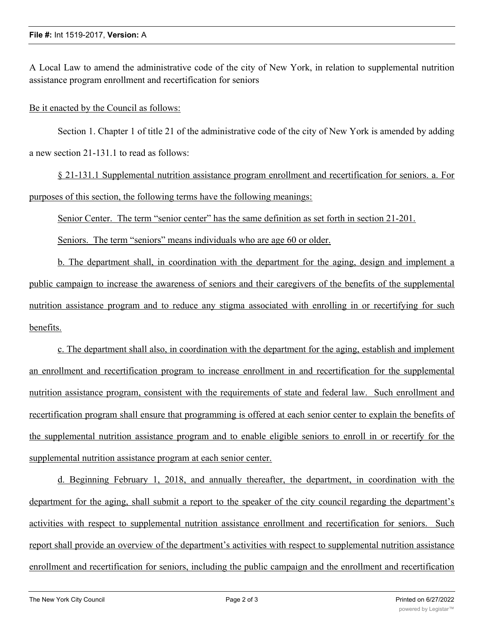A Local Law to amend the administrative code of the city of New York, in relation to supplemental nutrition assistance program enrollment and recertification for seniors

Be it enacted by the Council as follows:

Section 1. Chapter 1 of title 21 of the administrative code of the city of New York is amended by adding a new section 21-131.1 to read as follows:

§ 21-131.1 Supplemental nutrition assistance program enrollment and recertification for seniors. a. For purposes of this section, the following terms have the following meanings:

Senior Center. The term "senior center" has the same definition as set forth in section 21-201.

Seniors. The term "seniors" means individuals who are age 60 or older.

b. The department shall, in coordination with the department for the aging, design and implement a public campaign to increase the awareness of seniors and their caregivers of the benefits of the supplemental nutrition assistance program and to reduce any stigma associated with enrolling in or recertifying for such benefits.

c. The department shall also, in coordination with the department for the aging, establish and implement an enrollment and recertification program to increase enrollment in and recertification for the supplemental nutrition assistance program, consistent with the requirements of state and federal law. Such enrollment and recertification program shall ensure that programming is offered at each senior center to explain the benefits of the supplemental nutrition assistance program and to enable eligible seniors to enroll in or recertify for the supplemental nutrition assistance program at each senior center.

d. Beginning February 1, 2018, and annually thereafter, the department, in coordination with the department for the aging, shall submit a report to the speaker of the city council regarding the department's activities with respect to supplemental nutrition assistance enrollment and recertification for seniors. Such report shall provide an overview of the department's activities with respect to supplemental nutrition assistance enrollment and recertification for seniors, including the public campaign and the enrollment and recertification